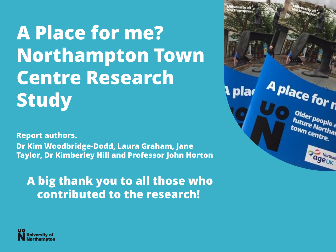**A Place for me? Northampton Town Centre Research Study**

**Report authors. Dr Kim Woodbridge-Dodd, Laura Graham, Jane Taylor, Dr Kimberley Hill and Professor John Horton** 

**A big thank you to all those who contributed to the research!**



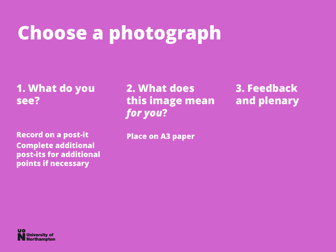#### **Choose a photograph**

**1. What do you see?**

**Record on a post-it Complete additional post-its for additional points if necessary**

**2. What does this image mean**  *for you***?** 

**3. Feedback and plenary**

**Place on A3 paper**

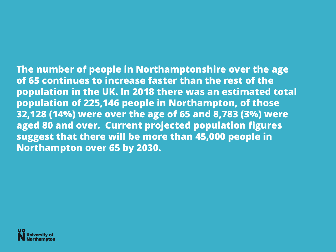**The number of people in Northamptonshire over the age of 65 continues to increase faster than the rest of the population in the UK. In 2018 there was an estimated total population of 225,146 people in Northampton, of those 32,128 (14%) were over the age of 65 and 8,783 (3%) were aged 80 and over. Current projected population figures suggest that there will be more than 45,000 people in Northampton over 65 by 2030.** 

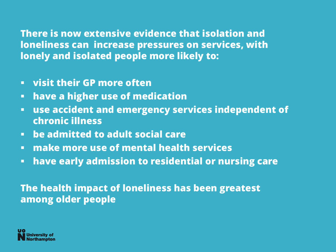**There is now extensive evidence that isolation and loneliness can increase pressures on services, with lonely and isolated people more likely to:**

- **visit their GP more often**
- **Example 2 higher use of medication**
- **use accident and emergency services independent of chronic illness**
- **be admitted to adult social care**
- **make more use of mental health services**
- **have early admission to residential or nursing care**

#### **The health impact of loneliness has been greatest among older people**

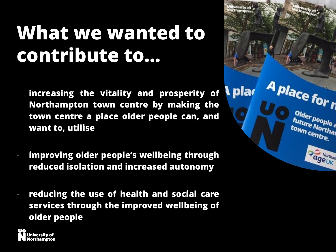#### **What we wanted to contribute to…**

- **increasing the vitality and prosperity of Northampton town centre by making the town centre a place older people can, and want to, utilise**
- **improving older people's wellbeing through reduced isolation and increased autonomy**
- **reducing the use of health and social care services through the improved wellbeing of older people**



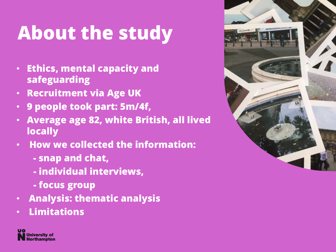## **About the study**

- **Ethics, mental capacity and safeguarding**
- **Recruitment via Age UK**
- **9 people took part: 5m/4f,**
- **Average age 82, white British, all lived locally**
- **How we collected the information:**
	- **- snap and chat,**
	- **- individual interviews,**
	- **- focus group**
- **Analysis: thematic analysis**
- **Limitations**



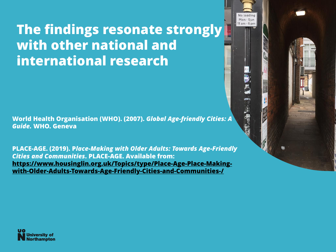#### **The findings resonate strongly with other national and international research**

**World Health Organisation (WHO). (2007).** *Global Age-friendly Cities: A Guide.* **WHO. Geneva**

**PLACE-AGE. (2019). P***lace-Making with Older Adults: Towards Age-Friendly Cities and Communities***. PLACE-AGE. Available from: https://www.housinglin.org.uk/Topics/type/Place-Age-Place-Making[with-Older-Adults-Towards-Age-Friendly-Cities-and-Communities-/](https://www.housinglin.org.uk/Topics/type/Place-Age-Place-Making-with-Older-Adults-Towards-Age-Friendly-Cities-and-Communities-/)**



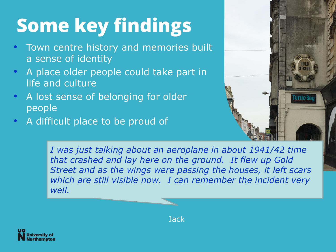# **Some key findings**

- Town centre history and memories built a sense of identity
- A place older people could take part in life and culture
- A lost sense of belonging for older people
- A difficult place to be proud of



*I was just talking about an aeroplane in about 1941/42 time that crashed and lay here on the ground. It flew up Gold Street and as the wings were passing the houses, it left scars which are still visible now. I can remember the incident very well.* 



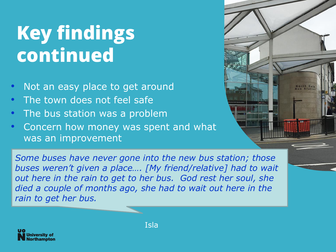#### **Key findings continued**

- Not an easy place to get around
- The town does not feel safe
- The bus station was a problem
- Concern how money was spent and what was an improvement

*Some buses have never gone into the new bus station; those buses weren't given a place…. [My friend/relative] had to wait out here in the rain to get to her bus. God rest her soul, she died a couple of months ago, she had to wait out here in the rain to get her bus.*



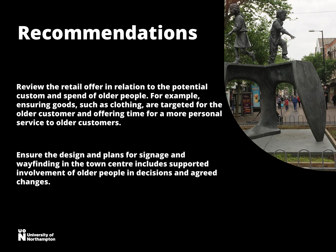### **Recommendations**

**Review the retail offer in relation to the potential custom and spend of older people. For example, ensuring goods, such as clothing, are targeted for the older customer and offering time for a more personal service to older customers.**

**Ensure the design and plans for signage and wayfinding in the town centre includes supported involvement of older people in decisions and agreed changes.**



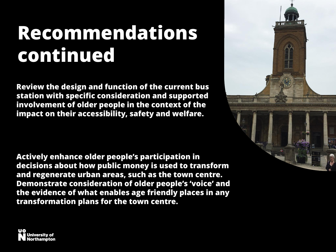#### **Recommendations continued**

**Review the design and function of the current bus station with specific consideration and supported involvement of older people in the context of the impact on their accessibility, safety and welfare.**

**Actively enhance older people's participation in decisions about how public money is used to transform and regenerate urban areas, such as the town centre. Demonstrate consideration of older people's 'voice' and the evidence of what enables age friendly places in any transformation plans for the town centre.**



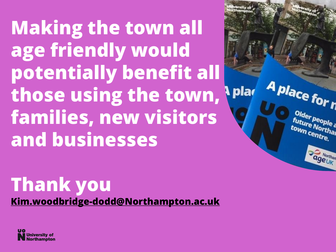**Making the town all age friendly would potentially benefit all those using the town, families, new visitors and businesses**

A place for n

Older people<br>future No<sup>ple</sup> a **future People**<br>town centural town centre.

**Morthan** 

#### **Thank you [Kim.woodbridge-dodd@Northampton.ac.uk](mailto:Kim.woodbridge-dodd@Northampton.ac.uk)**